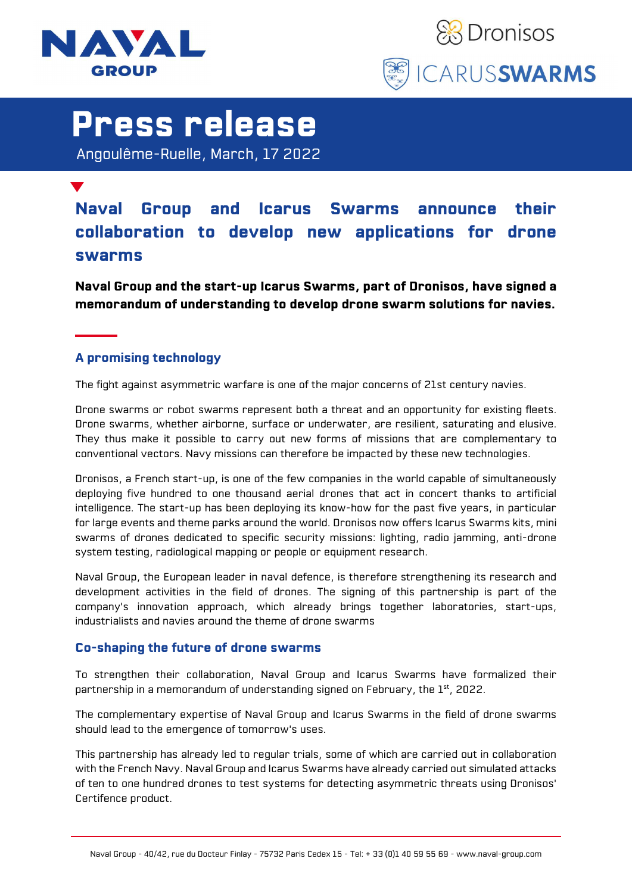



## Press release

Angoulême-Ruelle, March, 17 2022

### Naval Group and Icarus Swarms announce their collaboration to develop new applications for drone swarms

Naval Group and the start-up Icarus Swarms, part of Dronisos, have signed a memorandum of understanding to develop drone swarm solutions for navies.

#### A promising technology

The fight against asymmetric warfare is one of the major concerns of 21st century navies.

Drone swarms or robot swarms represent both a threat and an opportunity for existing fleets. Drone swarms, whether airborne, surface or underwater, are resilient, saturating and elusive. They thus make it possible to carry out new forms of missions that are complementary to conventional vectors. Navy missions can therefore be impacted by these new technologies.

Dronisos, a French start-up, is one of the few companies in the world capable of simultaneously deploying five hundred to one thousand aerial drones that act in concert thanks to artificial intelligence. The start-up has been deploying its know-how for the past five years, in particular for large events and theme parks around the world. Dronisos now offers Icarus Swarms kits, mini swarms of drones dedicated to specific security missions: lighting, radio jamming, anti-drone system testing, radiological mapping or people or equipment research.

Naval Group, the European leader in naval defence, is therefore strengthening its research and development activities in the field of drones. The signing of this partnership is part of the company's innovation approach, which already brings together laboratories, start-ups, industrialists and navies around the theme of drone swarms

#### Co-shaping the future of drone swarms

To strengthen their collaboration, Naval Group and Icarus Swarms have formalized their partnership in a memorandum of understanding signed on February, the 1st, 2022.

The complementary expertise of Naval Group and Icarus Swarms in the field of drone swarms should lead to the emergence of tomorrow's uses.

This partnership has already led to regular trials, some of which are carried out in collaboration with the French Navy. Naval Group and Icarus Swarms have already carried out simulated attacks of ten to one hundred drones to test systems for detecting asymmetric threats using Dronisos' Certifence product.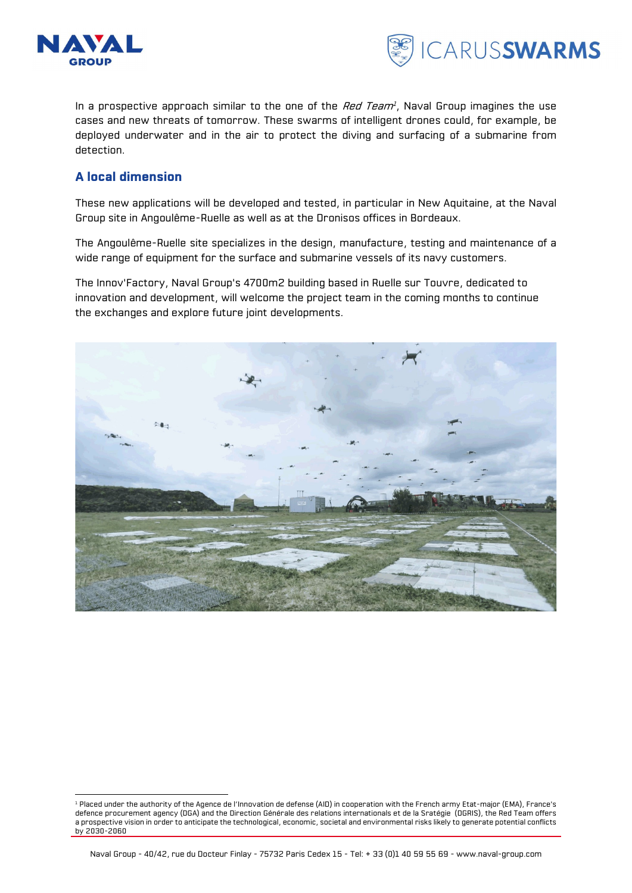

-



In a prospective approach similar to the one of the *Red Team<sup>1</sup>*, Naval Group imagines the use cases and new threats of tomorrow. These swarms of intelligent drones could, for example, be deployed underwater and in the air to protect the diving and surfacing of a submarine from detection.

#### A local dimension

These new applications will be developed and tested, in particular in New Aquitaine, at the Naval Group site in Angoulême-Ruelle as well as at the Dronisos offices in Bordeaux.

The Angoulême-Ruelle site specializes in the design, manufacture, testing and maintenance of a wide range of equipment for the surface and submarine vessels of its navy customers.

The Innov'Factory, Naval Group's 4700m2 building based in Ruelle sur Touvre, dedicated to innovation and development, will welcome the project team in the coming months to continue the exchanges and explore future joint developments.



<sup>1</sup> Placed under the authority of the Agence de l'Innovation de defense (AID) in cooperation with the French army Etat-major (EMA), France's defence procurement agency (DGA) and the Direction Générale des relations internationals et de la Sratégie (DGRIS), the Red Team offers a prospective vision in order to anticipate the technological, economic, societal and environmental risks likely to generate potential conflicts by 2030-2060